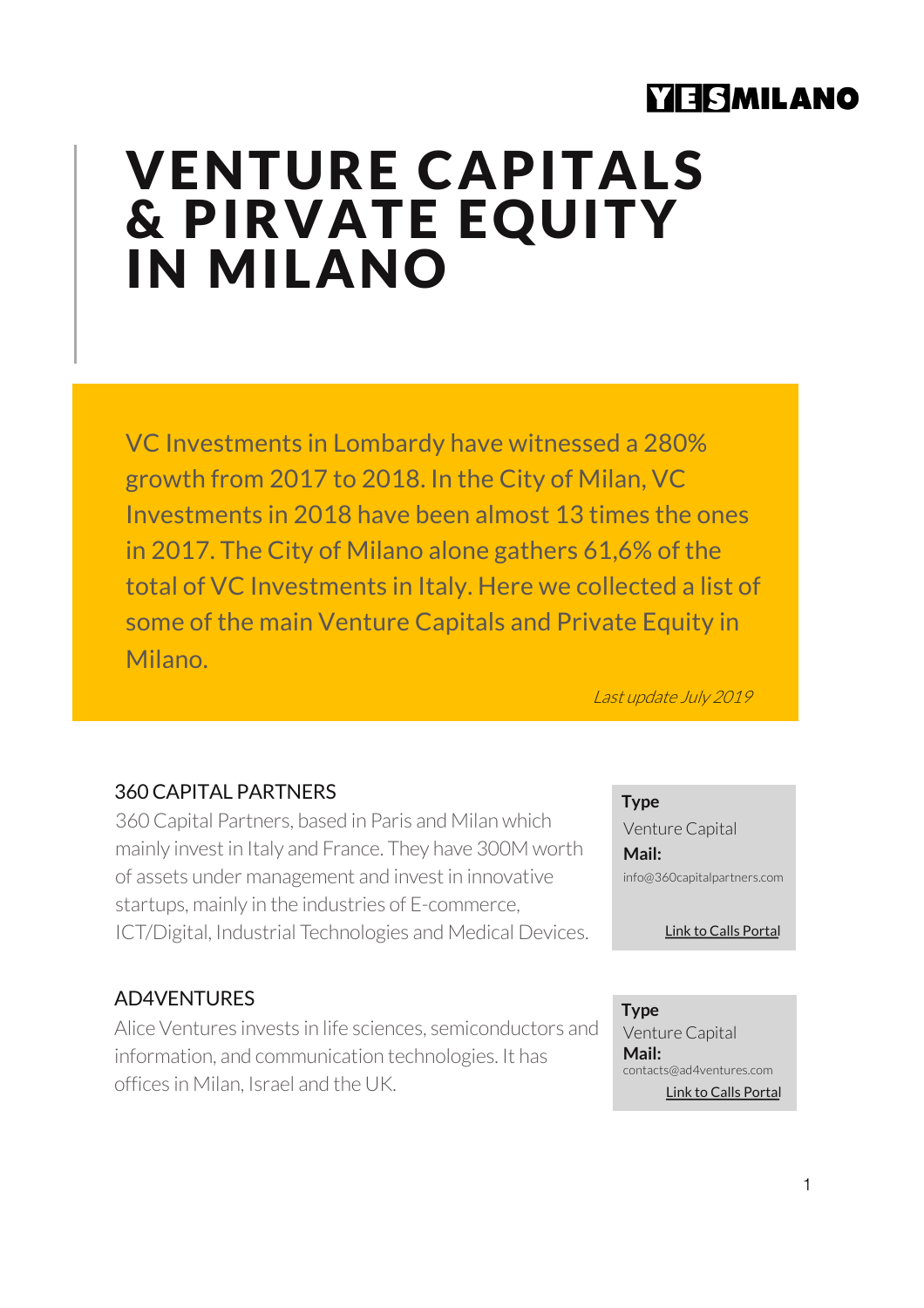# **YEISMILANO**

# VENTURE CAPITALS & PIRVATE EQUITY IN MILANO

VC Investments in Lombardy have witnessed a 280% growth from 2017 to 2018. In the City of Milan, VC Investments in 2018 have been almost 13 times the ones in 2017. The City of Milano alone gathers 61,6% of the total of VC Investments in Italy. Here we collected a list of some of the main Venture Capitals and Private Equity in Milano.

Last update July 2019

# 360 CAPITAL PARTNERS

360 Capital Partners, based in Paris and Milan which mainly invest in Italy and France. They have 300M worth of assets under management and invest in innovative startups, mainly in the industries of E-commerce, ICT/Digital, Industrial Technologies and Medical Devices.

### AD4VENTURES

Alice Ventures invests in life sciences, semiconductors and information, and communication technologies. It has offices in Milan, Israel and the UK.

**Type**

Venture Capital **Mail:**  info@360capitalpartners.com

[Link to Calls Po](https://360capitalpartners.welcomekit.co/)rtal

[Link to Calls Po](http://www.ad4ventures.com/what-we-offer/)rtal **Type** Venture Capital **Mail:**  contacts@ad4ventures.com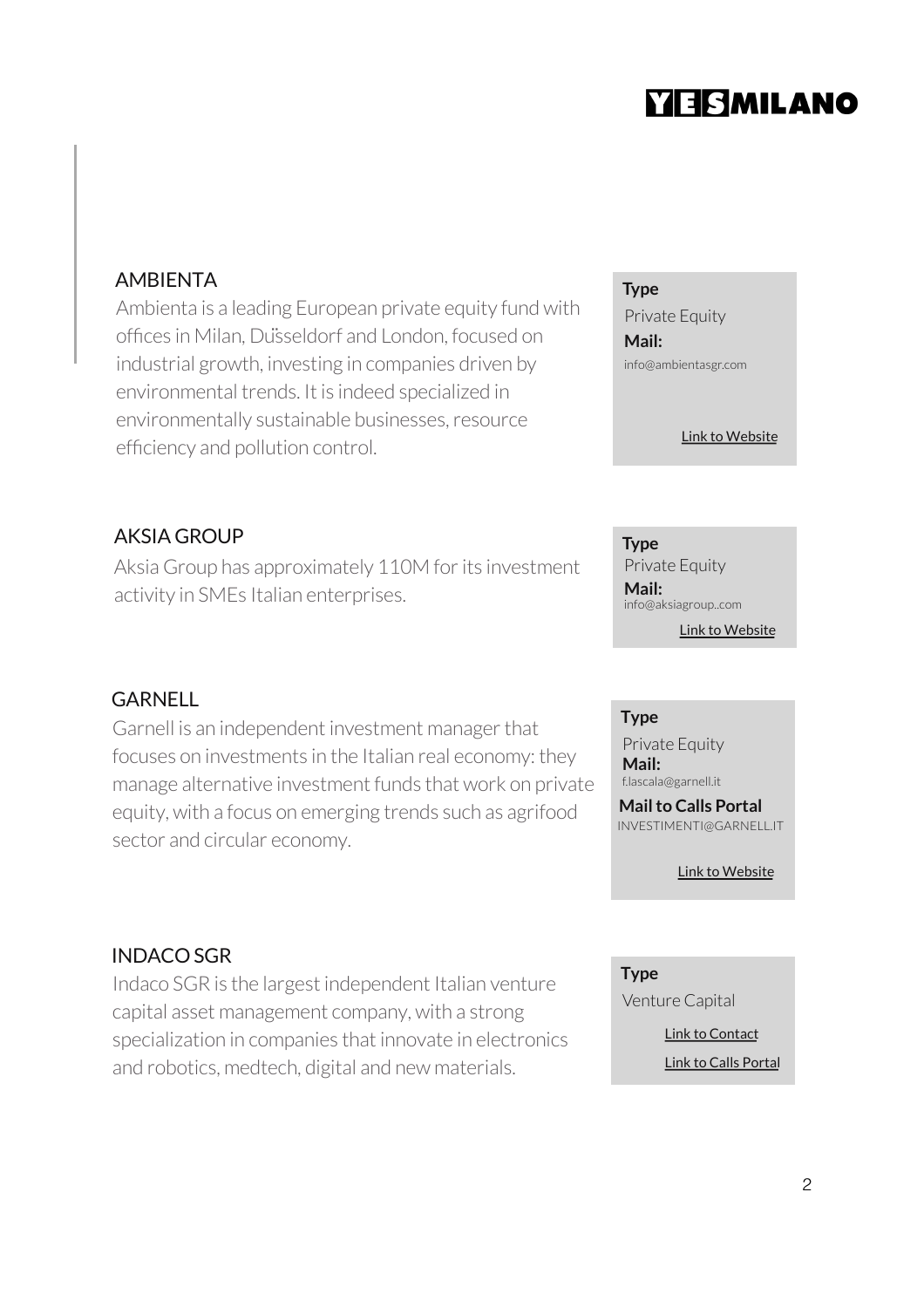# YESMILANO

# AMBIENTA

Ambienta is a leading European private equity fund with offices in Milan, Düsseldorf and London, focused on industrial growth, investing in companies driven by environmental trends. It is indeed specialized in environmentally sustainable businesses, resource efficiency and pollution control.

# AKSIA GROUP

Aksia Group has approximately 110M for its investment activity in SMEs Italian enterprises.

### **GARNELL**

Garnell is an independent investment manager that focuses on investments in the Italian real economy: they manage alternative investment funds that work on private equity, with a focus on emerging trends such as agrifood sector and circular economy.

### INDACO SGR

Indaco SGR is the largest independent Italian venture capital asset management company, with a strong specialization in companies that innovate in electronics and robotics, medtech, digital and new materials.

**Type**

Private Equity **Mail:**  info@ambientasgr.com

[Link to Web](http://www.ambientasgr.com/)site

**Type** Private Equity [Link to Web](http://www.aksiagroup.com/index_en.html)site **Mail:**  info@aksiagroup..com

#### **Type**

Private Equity **Mail:**  f.lascala@garnell.it

**Mail to Calls Portal**  INVESTIMENTI@GARNELL.IT

[Link to Web](https://en.garnell.it/)site

**Type** Venture Capital

> [Link to Con](https://www.indacosgr.com/contact-us/)tact [Link to Calls Po](https://www.indacosgr.com/send-us-your-project/)rtal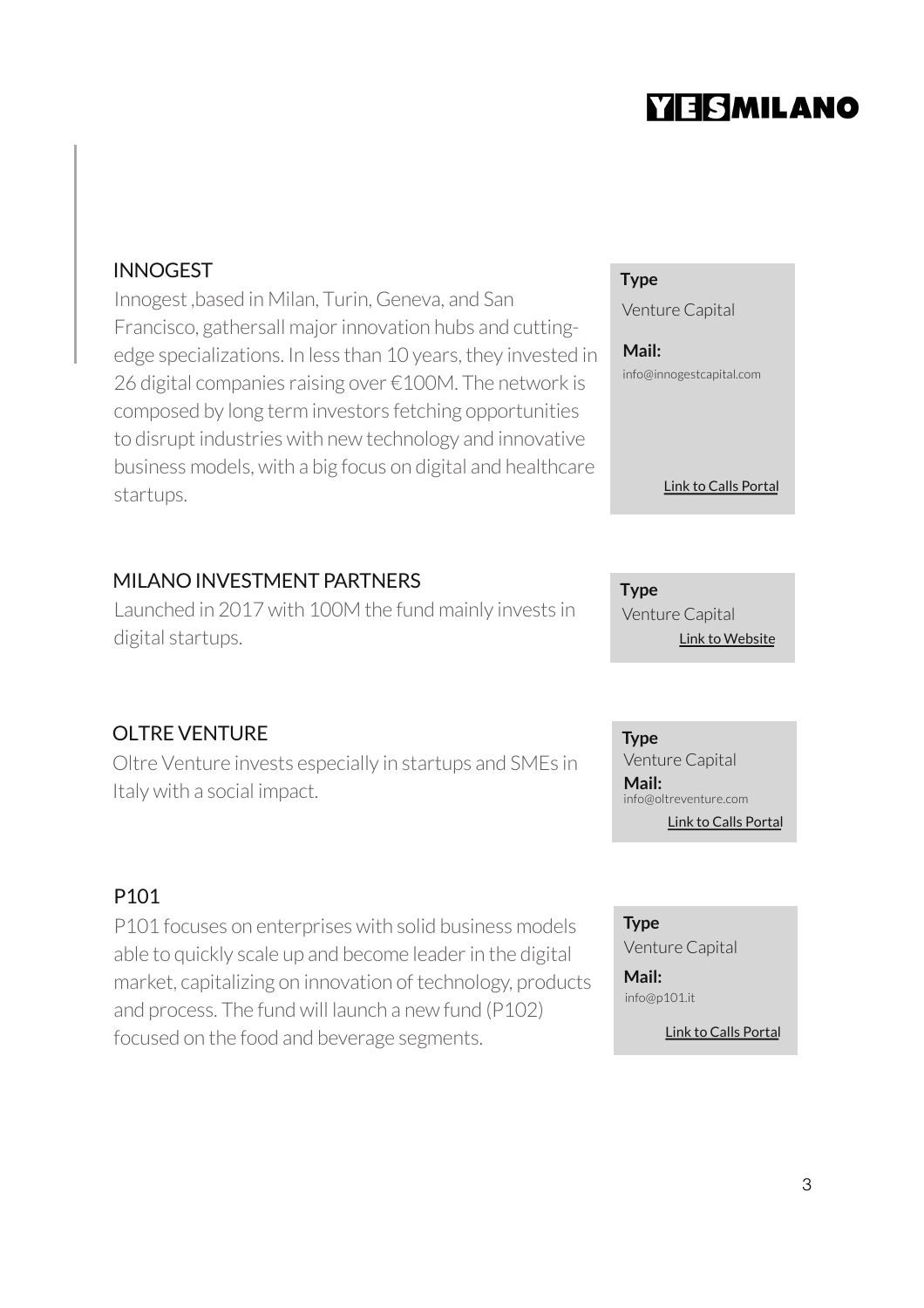# **YIESMILANO**

# INNOGEST

Innogest ,based in Milan, Turin, Geneva, and San Francisco, gathersall major innovation hubs and cuttingedge specializations. In less than 10 years, they invested in 26 digital companies raising over €100M. The network is composed by long term investors fetching opportunities to disrupt industries with new technology and innovative business models, with a big focus on digital and healthcare startups.

### MILANO INVESTMENT PARTNERS

Launched in 2017 with 100M the fund mainly invests in digital startups.

# OLTRE VENTURE

Oltre Venture invests especially in startups and SMEs in Italy with a social impact.

# P101

P101 focuses on enterprises with solid business models able to quickly scale up and become leader in the digital market, capitalizing on innovation of technology, products and process. The fund will launch a new fund (P102) focused on the food and beverage segments.

### **Type**

Venture Capital

**Mail:**  info@innogestcapital.com

#### [Link to Calls Po](http://www.innogestcapital.com/healtcare/contacts/)rtal

**Type** [Link to Web](https://www.milanoinvestment.com/)site Venture Capital

**Type** Venture Capital [Link to Calls Po](https://www.oltreventure.com/invia-progetto/)rtal **Mail:**  info@oltreventure.com

#### **Type**

Venture Capital

**Mail:**  info@p101.it

[Link to Calls Po](https://www.p101.it/en/contact/)rtal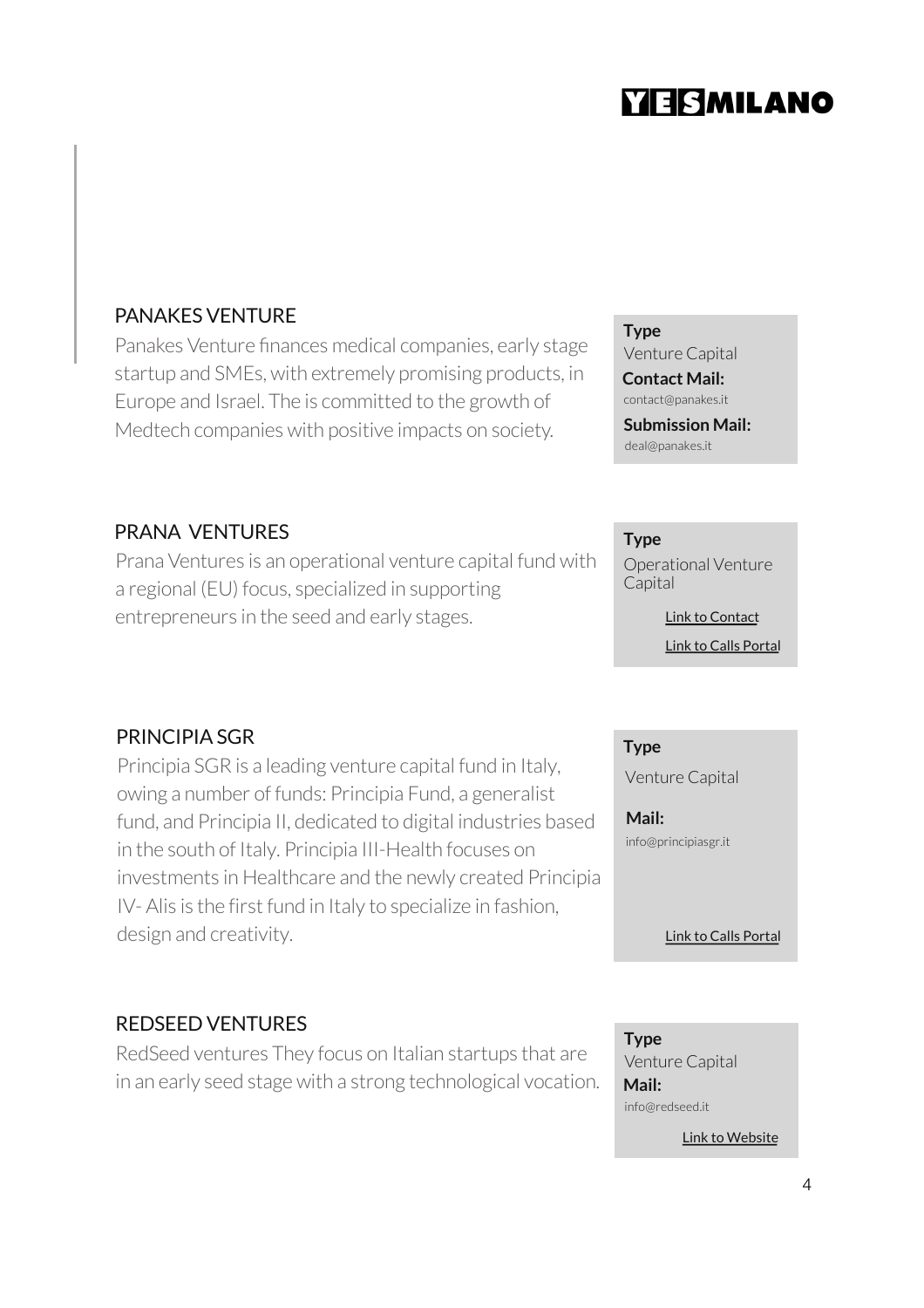# **YESMILANO**

# PANAKES VENTURE

Panakes Venture finances medical companies, early stage startup and SMEs, with extremely promising products, in Europe and Israel. The is committed to the growth of Medtech companies with positive impacts on society.

PRANA VENTURES

Prana Ventures is an operational venture capital fund with a regional (EU) focus, specialized in supporting entrepreneurs in the seed and early stages.

# PRINCIPIA SGR

Principia SGR is a leading venture capital fund in Italy, owing a number of funds: Principia Fund, a generalist fund, and Principia II, dedicated to digital industries based in the south of Italy. Principia III-Health focuses on investments in Healthcare and the newly created Principia IV- Alis is the first fund in Italy to specialize in fashion, design and creativity.

# REDSEED VENTURES

RedSeed ventures They focus on Italian startups that are in an early seed stage with a strong technological vocation.

### **Type**

Venture Capital

**Contact Mail:**  contact@panakes.it

**Submission Mail:** 

deal@panakes.it

### **Type**

Operational Venture Capital

> [Link to Calls Po](https://veda.pranaventures.it/)rtal [Link to Con](https://www.pranaventures.it/contatti/)tact

### **Type**

Venture Capital

**Mail:**  info@principiasgr.it

#### [Link to Calls Po](http://principiasgr.it/contacts/?lang=en)rtal

**Type** Venture Capital **Mail:**  info@redseed.it

[Link to Web](http://www.redseed.it/)site